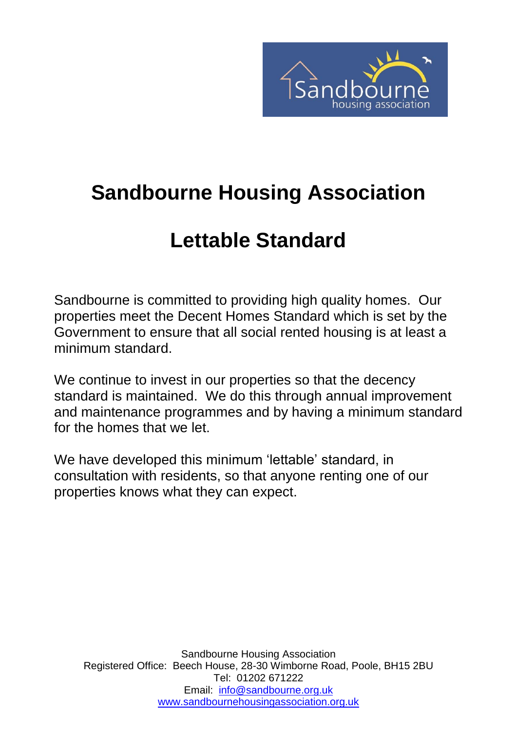

# **Sandbourne Housing Association**

# **Lettable Standard**

Sandbourne is committed to providing high quality homes. Our properties meet the Decent Homes Standard which is set by the Government to ensure that all social rented housing is at least a minimum standard.

We continue to invest in our properties so that the decency standard is maintained. We do this through annual improvement and maintenance programmes and by having a minimum standard for the homes that we let.

We have developed this minimum 'lettable' standard, in consultation with residents, so that anyone renting one of our properties knows what they can expect.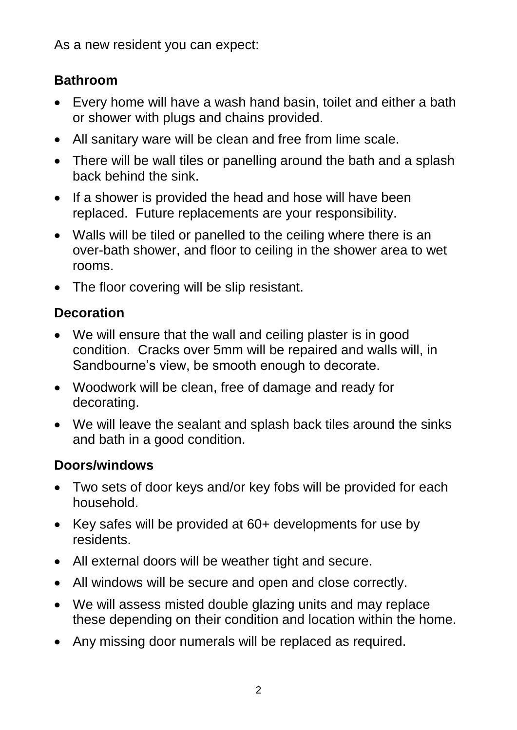As a new resident you can expect:

## **Bathroom**

- Every home will have a wash hand basin, toilet and either a bath or shower with plugs and chains provided.
- All sanitary ware will be clean and free from lime scale.
- There will be wall tiles or panelling around the bath and a splash back behind the sink.
- If a shower is provided the head and hose will have been replaced. Future replacements are your responsibility.
- Walls will be tiled or panelled to the ceiling where there is an over-bath shower, and floor to ceiling in the shower area to wet rooms.
- The floor covering will be slip resistant.

#### **Decoration**

- We will ensure that the wall and ceiling plaster is in good condition. Cracks over 5mm will be repaired and walls will, in Sandbourne's view, be smooth enough to decorate.
- Woodwork will be clean, free of damage and ready for decorating.
- We will leave the sealant and splash back tiles around the sinks and bath in a good condition.

#### **Doors/windows**

- Two sets of door keys and/or key fobs will be provided for each household.
- Key safes will be provided at 60+ developments for use by residents.
- All external doors will be weather tight and secure.
- All windows will be secure and open and close correctly.
- We will assess misted double glazing units and may replace these depending on their condition and location within the home.
- Any missing door numerals will be replaced as required.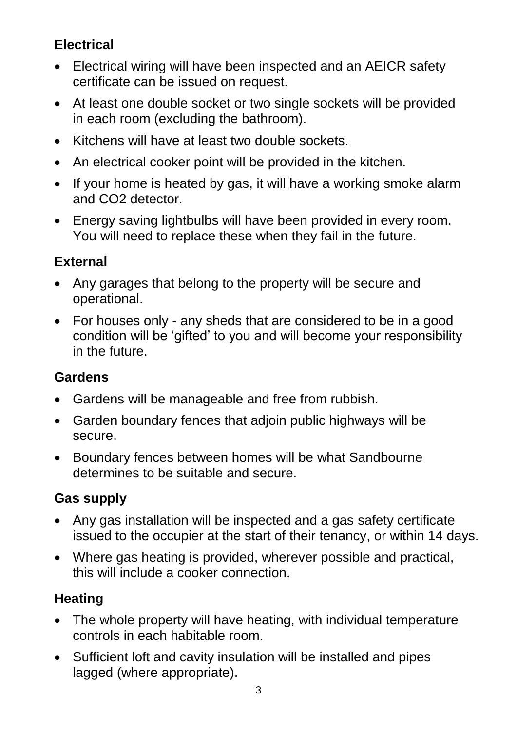## **Electrical**

- Electrical wiring will have been inspected and an AEICR safety certificate can be issued on request.
- At least one double socket or two single sockets will be provided in each room (excluding the bathroom).
- Kitchens will have at least two double sockets.
- An electrical cooker point will be provided in the kitchen.
- If your home is heated by gas, it will have a working smoke alarm and CO2 detector.
- Energy saving lightbulbs will have been provided in every room. You will need to replace these when they fail in the future.

### **External**

- Any garages that belong to the property will be secure and operational.
- For houses only any sheds that are considered to be in a good condition will be 'gifted' to you and will become your responsibility in the future.

#### **Gardens**

- Gardens will be manageable and free from rubbish.
- Garden boundary fences that adjoin public highways will be secure.
- Boundary fences between homes will be what Sandbourne determines to be suitable and secure.

# **Gas supply**

- Any gas installation will be inspected and a gas safety certificate issued to the occupier at the start of their tenancy, or within 14 days.
- Where gas heating is provided, wherever possible and practical, this will include a cooker connection.

## **Heating**

- The whole property will have heating, with individual temperature controls in each habitable room.
- Sufficient loft and cavity insulation will be installed and pipes lagged (where appropriate).